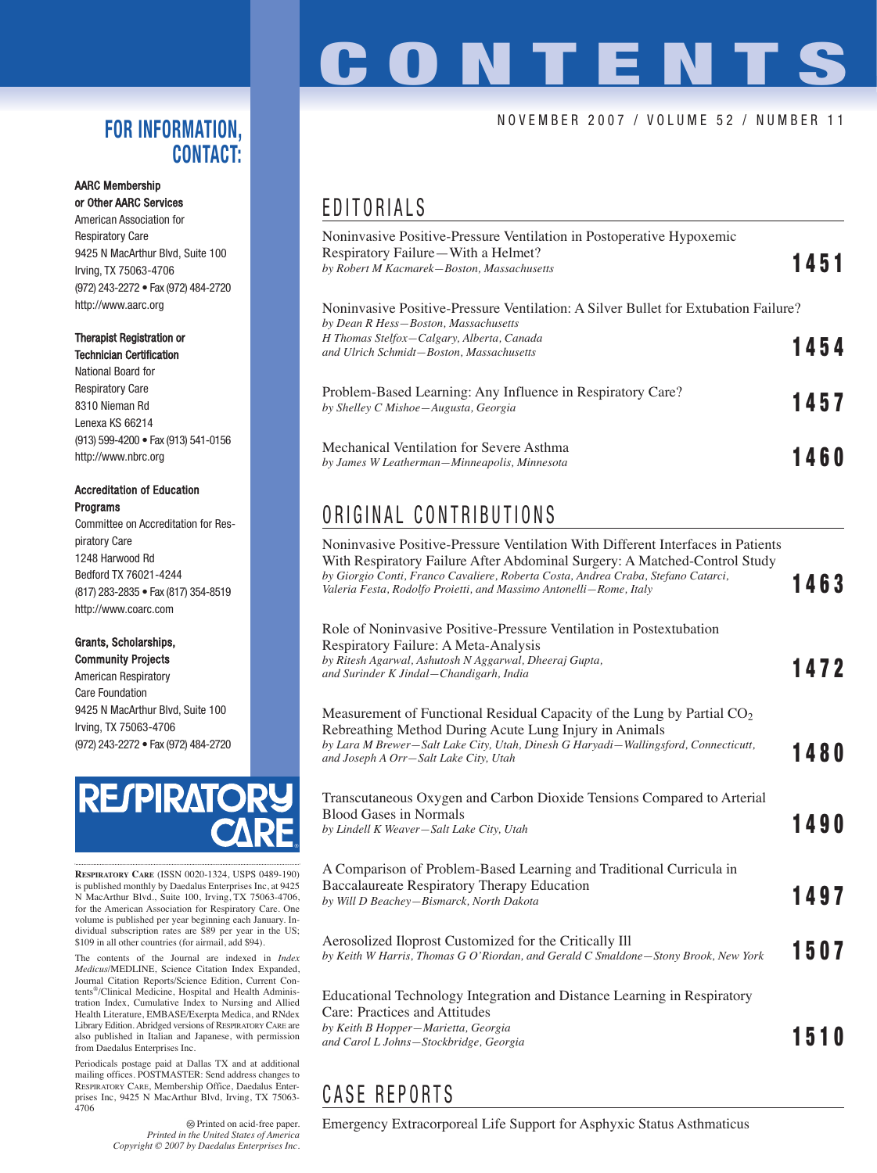### **FOR INFORMATION, CONTACT:**

#### AARC Membership or Other AARC Services

American Association for Respiratory Care 9425 N MacArthur Blvd, Suite 100 Irving, TX 75063-4706 (972) 243-2272 • Fax (972) 484-2720 http://www.aarc.org

#### Therapist Registration or Technician Certification

National Board for Respiratory Care 8310 Nieman Rd Lenexa KS 66214 (913) 599-4200 • Fax (913) 541-0156 http://www.nbrc.org

#### Accreditation of Education Programs

Committee on Accreditation for Respiratory Care 1248 Harwood Rd Bedford TX 76021-4244 (817) 283-2835 • Fax (817) 354-8519 http://www.coarc.com

#### Grants, Scholarships, Community Projects

American Respiratory Care Foundation 9425 N MacArthur Blvd, Suite 100 Irving, TX 75063-4706 (972) 243-2272 • Fax (972) 484-2720



**RESPIRATORY CARE** (ISSN 0020-1324, USPS 0489-190) is published monthly by Daedalus Enterprises Inc, at 9425 N MacArthur Blvd., Suite 100, Irving, TX 75063-4706, for the American Association for Respiratory Care. One volume is published per year beginning each January. Individual subscription rates are \$89 per year in the US; \$109 in all other countries (for airmail, add \$94).

The contents of the Journal are indexed in *Index Medicus*/MEDLINE, Science Citation Index Expanded, Journal Citation Reports/Science Edition, Current Contents®/Clinical Medicine, Hospital and Health Administration Index, Cumulative Index to Nursing and Allied Health Literature, EMBASE/Exerpta Medica, and RNdex Library Edition. Abridged versions of RESPIRATORY CARE are also published in Italian and Japanese, with permission from Daedalus Enterprises Inc.

Periodicals postage paid at Dallas TX and at additional mailing offices. POSTMASTER: Send address changes to RESPIRATORY CARE, Membership Office, Daedalus Enterprises Inc, 9425 N MacArthur Blvd, Irving, TX 75063- 4706

> Printed on acid-free paper. *Printed in the United States of America Copyright © 2007 by Daedalus Enterprises Inc.*

# CONTENTS

#### NOVEMBER 2007 / VOLUME 52 / NUMBER 11

## EDITORIALS

| Noninvasive Positive-Pressure Ventilation in Postoperative Hypoxemic<br>Respiratory Failure—With a Helmet?<br>by Robert M Kacmarek-Boston, Massachusetts                                                            | 1451 |
|---------------------------------------------------------------------------------------------------------------------------------------------------------------------------------------------------------------------|------|
| Noninvasive Positive-Pressure Ventilation: A Silver Bullet for Extubation Failure?<br>by Dean R Hess-Boston, Massachusetts<br>H Thomas Stelfox-Calgary, Alberta, Canada<br>and Ulrich Schmidt-Boston, Massachusetts | 1454 |
| Problem-Based Learning: Any Influence in Respiratory Care?<br>by Shelley C Mishoe - Augusta, Georgia                                                                                                                | 1457 |
| Mechanical Ventilation for Severe Asthma<br>by James W Leatherman-Minneapolis, Minnesota                                                                                                                            | 1460 |

## ORIGINAL CONTRIBUTIONS

| Noninvasive Positive-Pressure Ventilation With Different Interfaces in Patients<br>With Respiratory Failure After Abdominal Surgery: A Matched-Control Study<br>by Giorgio Conti, Franco Cavaliere, Roberta Costa, Andrea Craba, Stefano Catarci,<br>Valeria Festa, Rodolfo Proietti, and Massimo Antonelli–Rome, Italy | 1463        |
|-------------------------------------------------------------------------------------------------------------------------------------------------------------------------------------------------------------------------------------------------------------------------------------------------------------------------|-------------|
| Role of Noninvasive Positive-Pressure Ventilation in Postextubation<br>Respiratory Failure: A Meta-Analysis<br>by Ritesh Agarwal, Ashutosh N Aggarwal, Dheeraj Gupta,<br>and Surinder K Jindal-Chandigarh, India                                                                                                        | 1472        |
| Measurement of Functional Residual Capacity of the Lung by Partial $CO2$<br>Rebreathing Method During Acute Lung Injury in Animals<br>by Lara M Brewer-Salt Lake City, Utah, Dinesh G Haryadi-Wallingsford, Connecticutt,<br>and Joseph A Orr-Salt Lake City, Utah                                                      | 1480        |
| Transcutaneous Oxygen and Carbon Dioxide Tensions Compared to Arterial<br><b>Blood Gases in Normals</b><br>by Lindell K Weaver-Salt Lake City, Utah                                                                                                                                                                     | 1490        |
| A Comparison of Problem-Based Learning and Traditional Curricula in<br><b>Baccalaureate Respiratory Therapy Education</b><br>by Will D Beachey-Bismarck, North Dakota                                                                                                                                                   | 1497        |
| Aerosolized Iloprost Customized for the Critically Ill<br>by Keith W Harris, Thomas G O'Riordan, and Gerald C Smaldone-Stony Brook, New York                                                                                                                                                                            | 1507        |
| Educational Technology Integration and Distance Learning in Respiratory<br>Care: Practices and Attitudes<br>by Keith B Hopper-Marietta, Georgia<br>and Carol L Johns-Stockbridge, Georgia                                                                                                                               | <b>1510</b> |

## CASE REPORTS

Emergency Extracorporeal Life Support for Asphyxic Status Asthmaticus